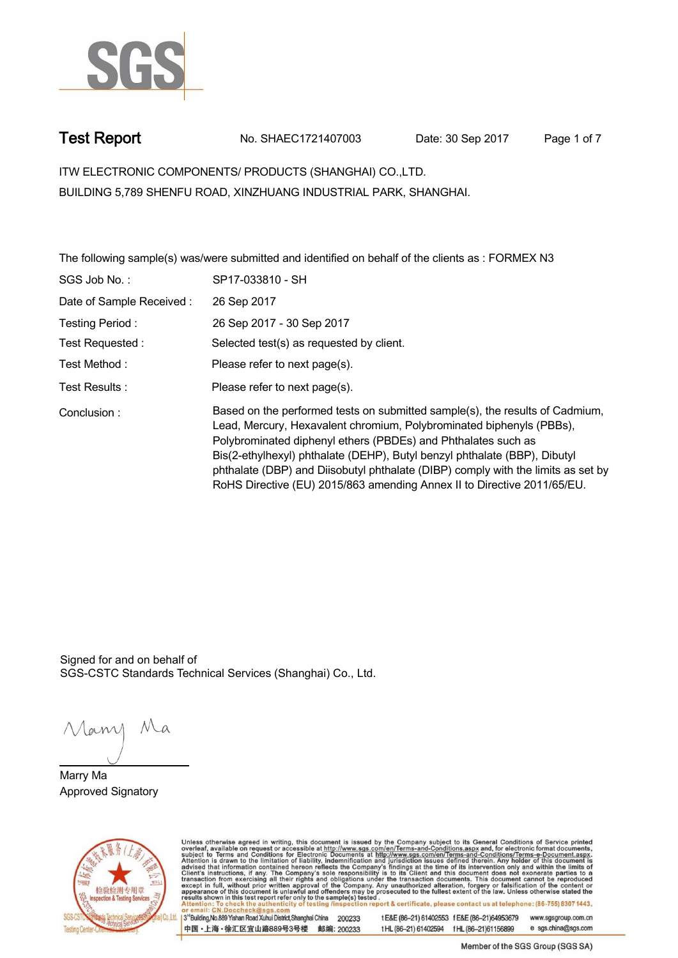

**Test Report. No. SHAEC1721407003 Date: 30 Sep 2017. Page 1 of 7.**

**ITW ELECTRONIC COMPONENTS/ PRODUCTS (SHANGHAI) CO.,LTD. . BUILDING 5,789 SHENFU ROAD, XINZHUANG INDUSTRIAL PARK, SHANGHAI.**

**The following sample(s) was/were submitted and identified on behalf of the clients as : FORMEX N3 .**

| SGS Job No.:             | SP17-033810 - SH                                                                                                                                                                                                                                                                                                                                                                                                                                                  |
|--------------------------|-------------------------------------------------------------------------------------------------------------------------------------------------------------------------------------------------------------------------------------------------------------------------------------------------------------------------------------------------------------------------------------------------------------------------------------------------------------------|
| Date of Sample Received: | 26 Sep 2017                                                                                                                                                                                                                                                                                                                                                                                                                                                       |
| Testing Period:          | 26 Sep 2017 - 30 Sep 2017                                                                                                                                                                                                                                                                                                                                                                                                                                         |
| Test Requested :         | Selected test(s) as requested by client.                                                                                                                                                                                                                                                                                                                                                                                                                          |
| Test Method :            | Please refer to next page(s).                                                                                                                                                                                                                                                                                                                                                                                                                                     |
| Test Results:            | Please refer to next page(s).                                                                                                                                                                                                                                                                                                                                                                                                                                     |
| Conclusion:              | Based on the performed tests on submitted sample(s), the results of Cadmium,<br>Lead, Mercury, Hexavalent chromium, Polybrominated biphenyls (PBBs),<br>Polybrominated diphenyl ethers (PBDEs) and Phthalates such as<br>Bis(2-ethylhexyl) phthalate (DEHP), Butyl benzyl phthalate (BBP), Dibutyl<br>phthalate (DBP) and Diisobutyl phthalate (DIBP) comply with the limits as set by<br>RoHS Directive (EU) 2015/863 amending Annex II to Directive 2011/65/EU. |

Signed for and on behalf of SGS-CSTC Standards Technical Services (Shanghai) Co., Ltd..

Many Ma

**Marry Ma. Approved Signatory .**



Unless otherwise agreed in writing, this document is issued by the Company subject to its General Conditions of Service printed overleaf, available on request or accessible at http://www.sgs.com/en/Terms-and-Conditions.asp

3<sup>rd</sup>Building, No.889 Yishan Road Xuhui District, Shanghai China 200233 中国·上海·徐汇区宜山路889号3号楼 邮编: 200233

tE&E (86-21) 61402553 fE&E (86-21)64953679 www.sgsgroup.com.cn tHL (86-21) 61402594 fHL (86-21) 61156899 e sgs.china@sgs.com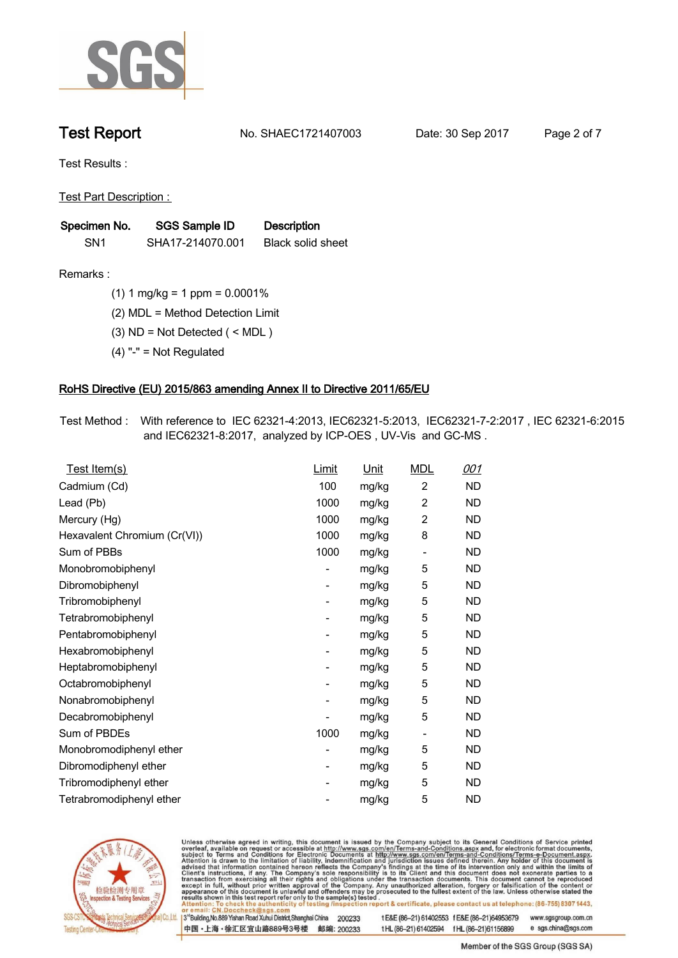

**Test Report. No. SHAEC1721407003 Date: 30 Sep 2017. Page 2 of 7.**

**Test Results :.**

**Test Part Description : .**

| Specimen No.    | SGS Sample ID    | <b>Description</b>       |  |
|-----------------|------------------|--------------------------|--|
| SN <sub>1</sub> | SHA17-214070.001 | <b>Black solid sheet</b> |  |

- **Remarks :.(1) 1 mg/kg = 1 ppm = 0.0001% .**
	- **(2) MDL = Method Detection Limit .**
	- **(3) ND = Not Detected ( < MDL ) .**
	- **(4) "-" = Not Regulated .**

### **RoHS Directive (EU) 2015/863 amending Annex II to Directive 2011/65/EU.**

**Test Method :. With reference to IEC 62321-4:2013, IEC62321-5:2013, IEC62321-7-2:2017 , IEC 62321-6:2015 and IEC62321-8:2017, analyzed by ICP-OES , UV-Vis and GC-MS . .**

| <u>Test Item(s)</u>          | <u>Limit</u>             | <u>Unit</u> | <b>MDL</b>               | 001       |
|------------------------------|--------------------------|-------------|--------------------------|-----------|
| Cadmium (Cd)                 | 100                      | mg/kg       | $\overline{c}$           | ND        |
| Lead (Pb)                    | 1000                     | mg/kg       | 2                        | <b>ND</b> |
| Mercury (Hg)                 | 1000                     | mg/kg       | 2                        | ND        |
| Hexavalent Chromium (Cr(VI)) | 1000                     | mg/kg       | 8                        | ND        |
| Sum of PBBs                  | 1000                     | mg/kg       | $\overline{\phantom{a}}$ | <b>ND</b> |
| Monobromobiphenyl            | -                        | mg/kg       | 5                        | <b>ND</b> |
| Dibromobiphenyl              | $\overline{\phantom{0}}$ | mg/kg       | 5                        | <b>ND</b> |
| Tribromobiphenyl             | $\overline{\phantom{0}}$ | mg/kg       | 5                        | <b>ND</b> |
| Tetrabromobiphenyl           | -                        | mg/kg       | 5                        | ND        |
| Pentabromobiphenyl           | $\overline{\phantom{0}}$ | mg/kg       | 5                        | ND        |
| Hexabromobiphenyl            | -                        | mg/kg       | 5                        | ND        |
| Heptabromobiphenyl           | $\overline{\phantom{a}}$ | mg/kg       | 5                        | <b>ND</b> |
| Octabromobiphenyl            | -                        | mg/kg       | 5                        | <b>ND</b> |
| Nonabromobiphenyl            | -                        | mg/kg       | 5                        | ND        |
| Decabromobiphenyl            | $\overline{a}$           | mg/kg       | 5                        | <b>ND</b> |
| Sum of PBDEs                 | 1000                     | mg/kg       | $\overline{\phantom{a}}$ | <b>ND</b> |
| Monobromodiphenyl ether      | -                        | mg/kg       | 5                        | ND        |
| Dibromodiphenyl ether        | ۰                        | mg/kg       | 5                        | <b>ND</b> |
| Tribromodiphenyl ether       | -                        | mg/kg       | 5                        | ND        |
| Tetrabromodiphenyl ether     |                          | mg/kg       | 5                        | <b>ND</b> |



Unless otherwise agreed in writing, this document is issued by the Company subject to its General Conditions of Service printed overleaf, available on request or accessible at http://www.sgs.com/en/Terms-and-Conditions.asp

3<sup>rd</sup>Building, No.889 Yishan Road Xuhui District, Shanghai China 200233 中国·上海·徐汇区宜山路889号3号楼 邮编: 200233 t E&E (86-21) 61402553 f E&E (86-21)64953679 www.sgsgroup.com.cn

t HL (86-21) 61402594 f HL (86-21) 61156899 e sgs.china@sgs.com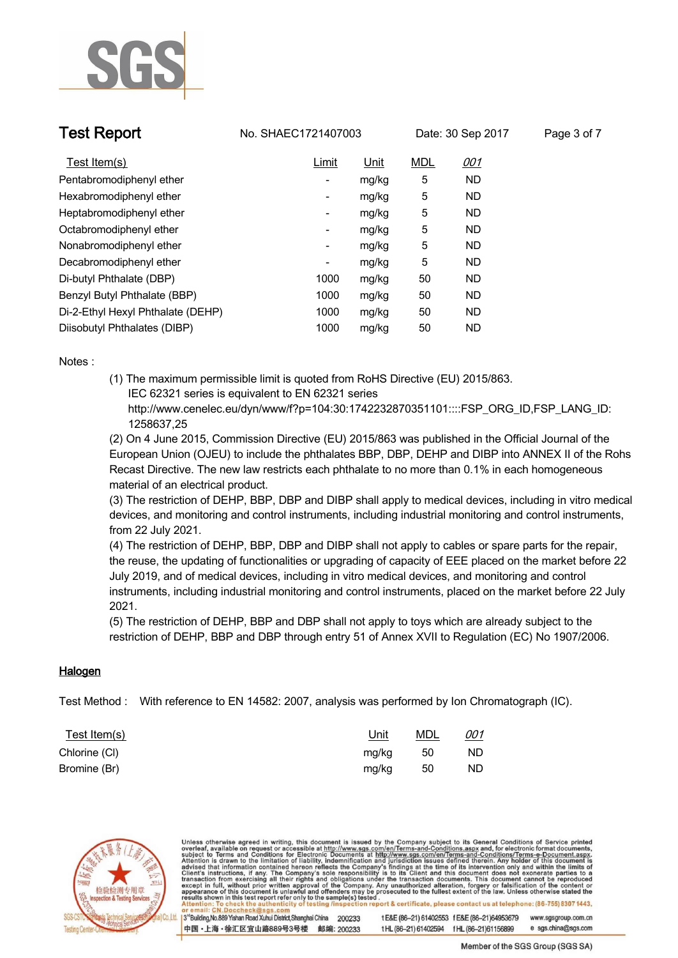

**Test Report No. SHAEC1721407003** Date: 30 Sep 2017 Page 3 of 7

| Test Item(s)                      | Limit                    | Unit  | <b>MDL</b> | <u>001</u> |
|-----------------------------------|--------------------------|-------|------------|------------|
| Pentabromodiphenyl ether          | ۰                        | mg/kg | 5          | <b>ND</b>  |
| Hexabromodiphenyl ether           | $\overline{\phantom{a}}$ | mg/kg | 5          | <b>ND</b>  |
| Heptabromodiphenyl ether          | ۰                        | mg/kg | 5          | <b>ND</b>  |
| Octabromodiphenyl ether           | ۰                        | mg/kg | 5          | ND.        |
| Nonabromodiphenyl ether           | ۰                        | mg/kg | 5          | <b>ND</b>  |
| Decabromodiphenyl ether           | $\overline{\phantom{a}}$ | mg/kg | 5          | <b>ND</b>  |
| Di-butyl Phthalate (DBP)          | 1000                     | mg/kg | 50         | <b>ND</b>  |
| Benzyl Butyl Phthalate (BBP)      | 1000                     | mg/kg | 50         | <b>ND</b>  |
| Di-2-Ethyl Hexyl Phthalate (DEHP) | 1000                     | mg/kg | 50         | <b>ND</b>  |
| Diisobutyl Phthalates (DIBP)      | 1000                     | mg/kg | 50         | <b>ND</b>  |

**Notes :.**

**(1) The maximum permissible limit is quoted from RoHS Directive (EU) 2015/863. IEC 62321 series is equivalent to EN 62321 series**

 **http://www.cenelec.eu/dyn/www/f?p=104:30:1742232870351101::::FSP\_ORG\_ID,FSP\_LANG\_ID: 1258637,25**

**(2) On 4 June 2015, Commission Directive (EU) 2015/863 was published in the Official Journal of the European Union (OJEU) to include the phthalates BBP, DBP, DEHP and DIBP into ANNEX II of the Rohs Recast Directive. The new law restricts each phthalate to no more than 0.1% in each homogeneous material of an electrical product.** 

**(3) The restriction of DEHP, BBP, DBP and DIBP shall apply to medical devices, including in vitro medical devices, and monitoring and control instruments, including industrial monitoring and control instruments, from 22 July 2021.**

**(4) The restriction of DEHP, BBP, DBP and DIBP shall not apply to cables or spare parts for the repair, the reuse, the updating of functionalities or upgrading of capacity of EEE placed on the market before 22 July 2019, and of medical devices, including in vitro medical devices, and monitoring and control instruments, including industrial monitoring and control instruments, placed on the market before 22 July 2021.** 

**(5) The restriction of DEHP, BBP and DBP shall not apply to toys which are already subject to the restriction of DEHP, BBP and DBP through entry 51 of Annex XVII to Regulation (EC) No 1907/2006. .**

### **Halogen.**

**Test Method :. With reference to EN 14582: 2007, analysis was performed by Ion Chromatograph (IC). .**

| <u>Test Item(s)</u> | <u>Unit</u> | <u>MDL</u> | <u>001</u> |
|---------------------|-------------|------------|------------|
| Chlorine (CI)       | mg/kg       | 50         | <b>ND</b>  |
| Bromine (Br)        | mg/kg       | - 50       | <b>ND</b>  |



Unless otherwise agreed in writing, this document is issued by the Company subject to its General Conditions of Service printed overleaf, available on request or accessible at http://www.sgs.com/en/Terms-and-Conditions.asp results shown in this test report refer only to the sample(s) tested report & certificate, please contact us at telephone: (86-755) 8307 1443, 3<sup>rd</sup> Building, No.889 Yishan Road Xuhui District, Shanghai China t E&E (86-21) 61402553 f E&E (86-21)64953679 www.sgsgroup.com.cn 200233 中国·上海·徐汇区宜山路889号3号楼 邮编: 200233 e sgs.china@sgs.com tHL (86-21) 61402594 fHL (86-21) 61156899

Member of the SGS Group (SGS SA)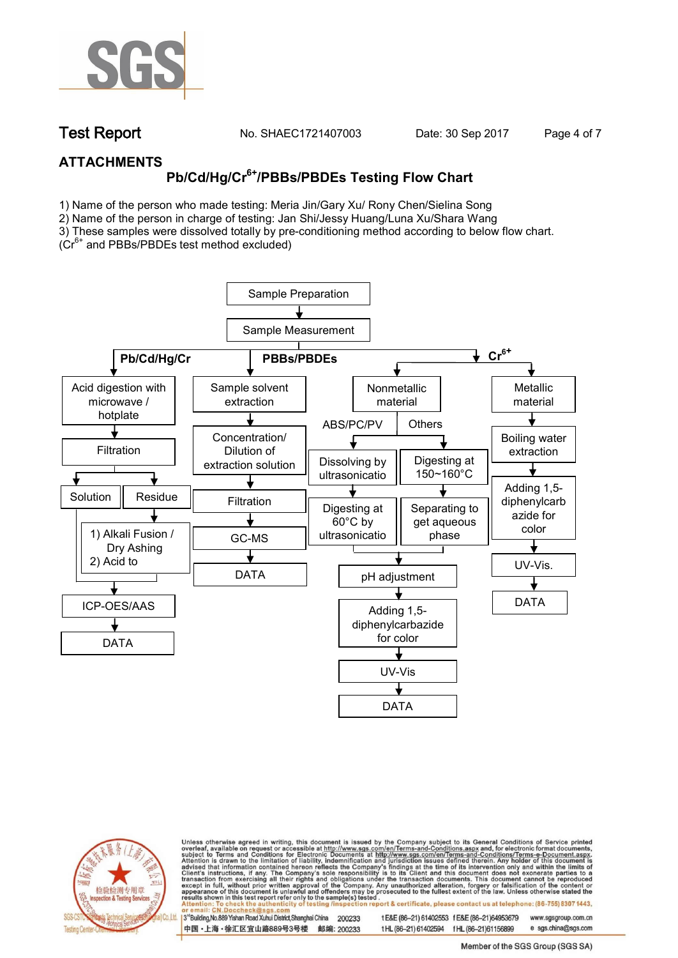

**Test Report. No. SHAEC1721407003 Date: 30 Sep 2017. Page 4 of 7.**

### **ATTACHMENTS**

# **Pb/Cd/Hg/Cr6+/PBBs/PBDEs Testing Flow Chart**

1) Name of the person who made testing: Meria Jin/Gary Xu/ Rony Chen/Sielina Song

2) Name of the person in charge of testing: Jan Shi/Jessy Huang/Luna Xu/Shara Wang

3) These samples were dissolved totally by pre-conditioning method according to below flow chart.

(Cr6+ and PBBs/PBDEs test method excluded)





Unless otherwise agreed in writing, this document is issued by the Company subject to its General Conditions of Service printed overleaf, available on request or accessible at http://www.sgs.com/en/Terms-and-Conditions.asp ion report & certificate, please contact us at telephone: (86-755) 8307 1443, esting/ins

13<sup>rd</sup> Building, No.889 Yishan Road Xuhui District, Shanghai China 200233 中国·上海·徐汇区宜山路889号3号楼 邮编: 200233

tE&E (86-21) 61402553 fE&E (86-21)64953679 www.sgsgroup.com.cn t HL (86-21) 61402594 f HL (86-21)61156899

e sgs.china@sgs.com Member of the SGS Group (SGS SA)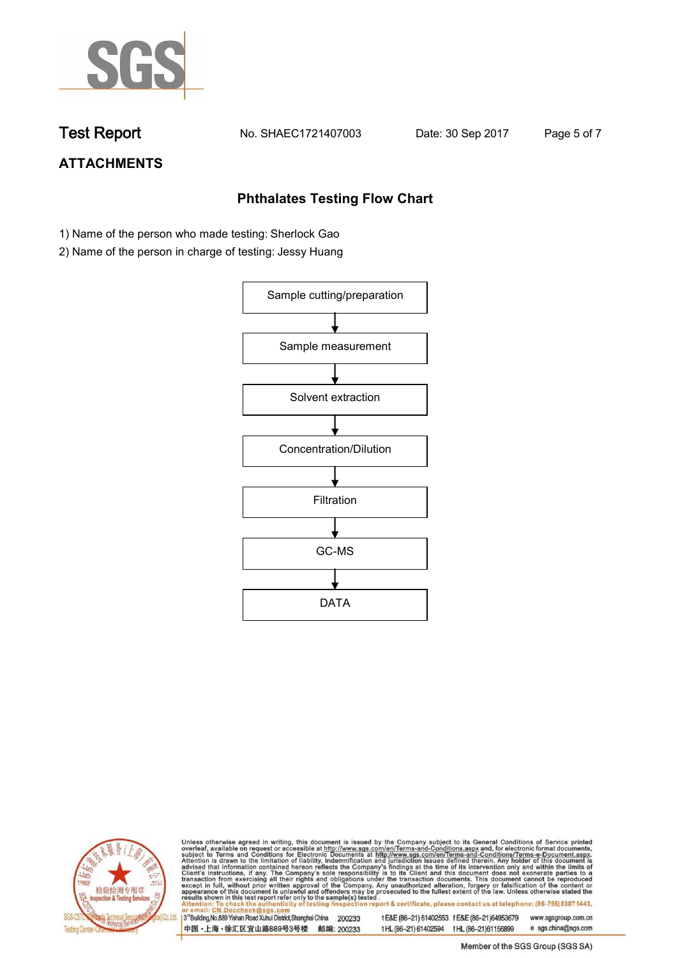

**Test Report. No. SHAEC1721407003 Date: 30 Sep 2017. Page 5 of 7.**

# **ATTACHMENTS**

### **Phthalates Testing Flow Chart**

- 1) Name of the person who made testing: Sherlock Gao
- 2) Name of the person in charge of testing: Jessy Huang





Unless otherwise agreed in writing, this document is issued by the Company subject to its General Conditions of Service printed overleaf, available on request or accessible at http://www.sgs.com/en/Terms-and-Conditions.asp

3<sup>rd</sup>Building, No.889 Yishan Road Xuhui District, Shanghai China 200233 中国·上海·徐汇区宜山路889号3号楼 邮编: 200233 t E&E (86-21) 61402553 f E&E (86-21)64953679 www.sgsgroup.com.cn t HL (86-21) 61402594 f HL (86-21) 61156899 e sgs.china@sgs.com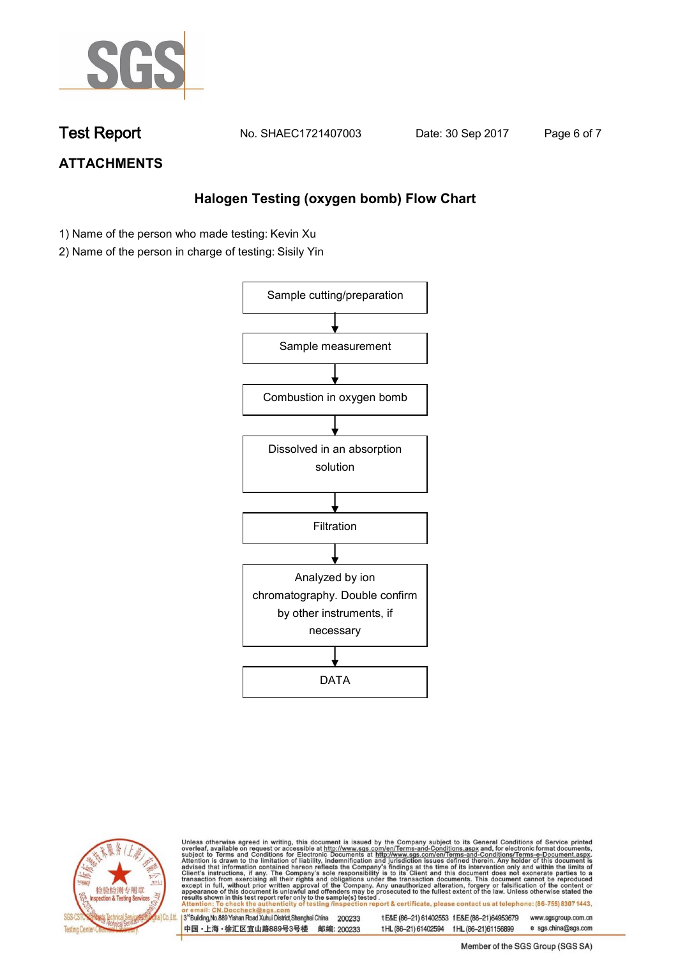

**Test Report. No. SHAEC1721407003 Date: 30 Sep 2017. Page 6 of 7.**

## **ATTACHMENTS**

### **Halogen Testing (oxygen bomb) Flow Chart**

- 1) Name of the person who made testing: Kevin Xu
- 2) Name of the person in charge of testing: Sisily Yin





Unless otherwise agreed in writing, this document is issued by the Company subject to its General Conditions of Service printed overleaf, available on request or accessible at http://www.sgs.com/en/Terms-and-Conditions.asp

3<sup>rd</sup>Building, No.889 Yishan Road Xuhui District, Shanghai China 200233 中国·上海·徐汇区宜山路889号3号楼 邮编: 200233 t E&E (86-21) 61402553 f E&E (86-21)64953679 www.sgsgroup.com.cn

t HL (86-21) 61402594 f HL (86-21) 61156899 e sgs.china@sgs.com Member of the SGS Group (SGS SA)